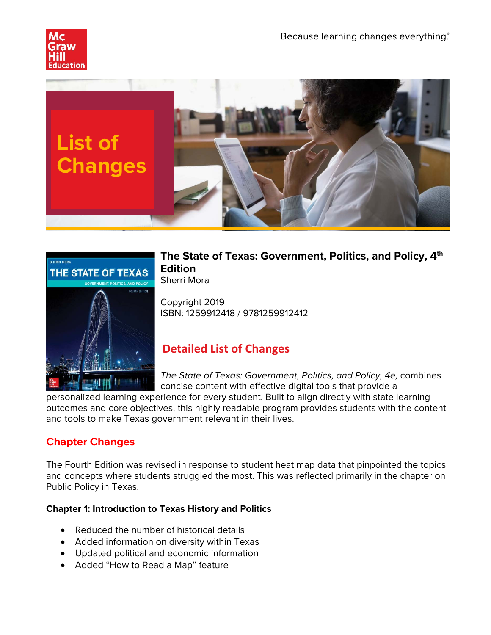





## **The State of Texas: Government, Politics, and Policy, 4th Edition** Sherri Mora

Copyright 2019 ISBN: 1259912418 / 9781259912412

# **Detailed List of Changes**

*The State of Texas: Government, Politics, and Policy, 4e,* combines concise content with effective digital tools that provide a

personalized learning experience for every student. Built to align directly with state learning outcomes and core objectives, this highly readable program provides students with the content and tools to make Texas government relevant in their lives.

## **Chapter Changes**

The Fourth Edition was revised in response to student heat map data that pinpointed the topics and concepts where students struggled the most. This was reflected primarily in the chapter on Public Policy in Texas.

#### **Chapter 1: Introduction to Texas History and Politics**

- Reduced the number of historical details
- Added information on diversity within Texas
- Updated political and economic information
- Added "How to Read a Map" feature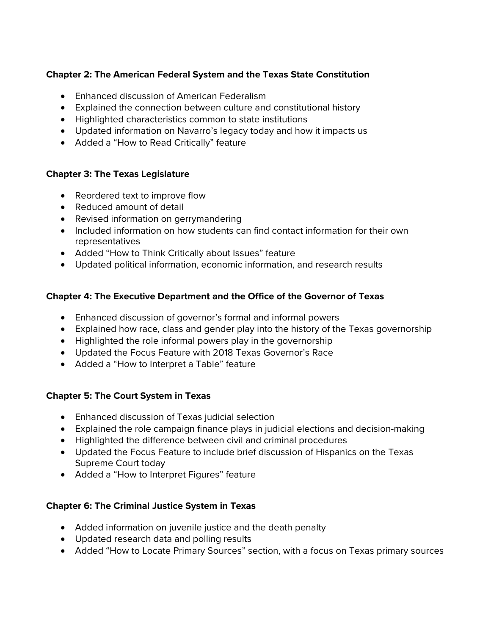## **Chapter 2: The American Federal System and the Texas State Constitution**

- Enhanced discussion of American Federalism
- Explained the connection between culture and constitutional history
- Highlighted characteristics common to state institutions
- Updated information on Navarro's legacy today and how it impacts us
- Added a "How to Read Critically" feature

#### **Chapter 3: The Texas Legislature**

- Reordered text to improve flow
- Reduced amount of detail
- Revised information on gerrymandering
- Included information on how students can find contact information for their own representatives
- Added "How to Think Critically about Issues" feature
- Updated political information, economic information, and research results

#### **Chapter 4: The Executive Department and the Office of the Governor of Texas**

- Enhanced discussion of governor's formal and informal powers
- Explained how race, class and gender play into the history of the Texas governorship
- Highlighted the role informal powers play in the governorship
- Updated the Focus Feature with 2018 Texas Governor's Race
- Added a "How to Interpret a Table" feature

#### **Chapter 5: The Court System in Texas**

- Enhanced discussion of Texas judicial selection
- Explained the role campaign finance plays in judicial elections and decision-making
- Highlighted the difference between civil and criminal procedures
- Updated the Focus Feature to include brief discussion of Hispanics on the Texas Supreme Court today
- Added a "How to Interpret Figures" feature

#### **Chapter 6: The Criminal Justice System in Texas**

- Added information on juvenile justice and the death penalty
- Updated research data and polling results
- Added "How to Locate Primary Sources" section, with a focus on Texas primary sources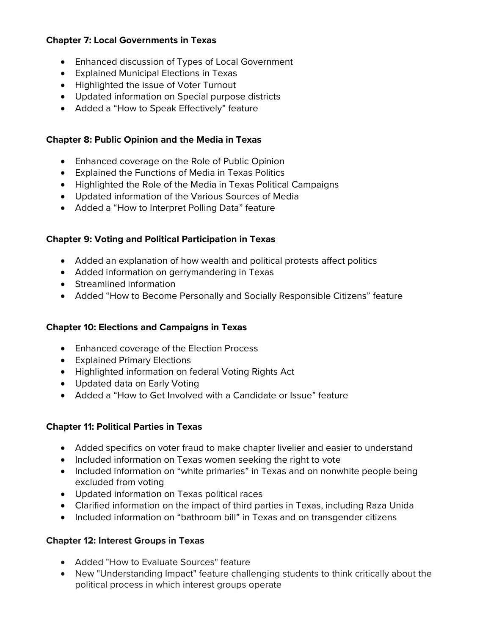#### **Chapter 7: Local Governments in Texas**

- Enhanced discussion of Types of Local Government
- Explained Municipal Elections in Texas
- Highlighted the issue of Voter Turnout
- Updated information on Special purpose districts
- Added a "How to Speak Effectively" feature

#### **Chapter 8: Public Opinion and the Media in Texas**

- Enhanced coverage on the Role of Public Opinion
- Explained the Functions of Media in Texas Politics
- Highlighted the Role of the Media in Texas Political Campaigns
- Updated information of the Various Sources of Media
- Added a "How to Interpret Polling Data" feature

#### **Chapter 9: Voting and Political Participation in Texas**

- Added an explanation of how wealth and political protests affect politics
- Added information on gerrymandering in Texas
- Streamlined information
- Added "How to Become Personally and Socially Responsible Citizens" feature

#### **Chapter 10: Elections and Campaigns in Texas**

- Enhanced coverage of the Election Process
- Explained Primary Elections
- Highlighted information on federal Voting Rights Act
- Updated data on Early Voting
- Added a "How to Get Involved with a Candidate or Issue" feature

#### **Chapter 11: Political Parties in Texas**

- Added specifics on voter fraud to make chapter livelier and easier to understand
- Included information on Texas women seeking the right to vote
- Included information on "white primaries" in Texas and on nonwhite people being excluded from voting
- Updated information on Texas political races
- Clarified information on the impact of third parties in Texas, including Raza Unida
- Included information on "bathroom bill" in Texas and on transgender citizens

## **Chapter 12: Interest Groups in Texas**

- Added "How to Evaluate Sources" feature
- New "Understanding Impact" feature challenging students to think critically about the political process in which interest groups operate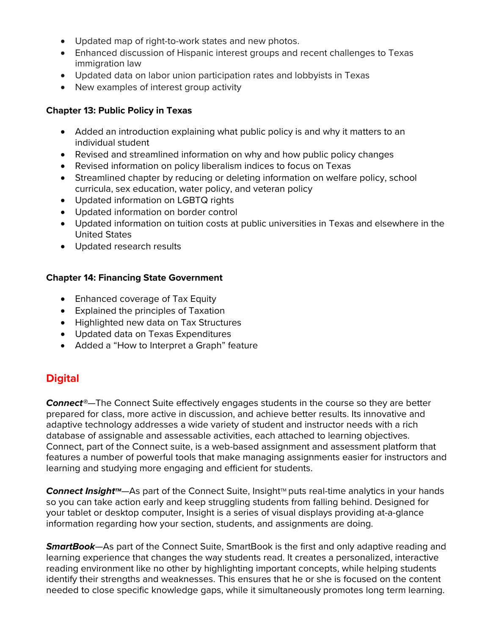- Updated map of right-to-work states and new photos.
- Enhanced discussion of Hispanic interest groups and recent challenges to Texas immigration law
- Updated data on labor union participation rates and lobbyists in Texas
- New examples of interest group activity

#### **Chapter 13: Public Policy in Texas**

- Added an introduction explaining what public policy is and why it matters to an individual student
- Revised and streamlined information on why and how public policy changes
- Revised information on policy liberalism indices to focus on Texas
- Streamlined chapter by reducing or deleting information on welfare policy, school curricula, sex education, water policy, and veteran policy
- Updated information on LGBTQ rights
- Updated information on border control
- Updated information on tuition costs at public universities in Texas and elsewhere in the United States
- Updated research results

#### **Chapter 14: Financing State Government**

- Enhanced coverage of Tax Equity
- Explained the principles of Taxation
- Highlighted new data on Tax Structures
- Updated data on Texas Expenditures
- Added a "How to Interpret a Graph" feature

## **Digital**

*Connect®*—The Connect Suite effectively engages students in the course so they are better prepared for class, more active in discussion, and achieve better results. Its innovative and adaptive technology addresses a wide variety of student and instructor needs with a rich database of assignable and assessable activities, each attached to learning objectives. Connect, part of the Connect suite, is a web-based assignment and assessment platform that features a number of powerful tools that make managing assignments easier for instructors and learning and studying more engaging and efficient for students.

**Connect Insight™**—As part of the Connect Suite, Insight™ puts real-time analytics in your hands so you can take action early and keep struggling students from falling behind. Designed for your tablet or desktop computer, Insight is a series of visual displays providing at-a-glance information regarding how your section, students, and assignments are doing.

*SmartBook*—As part of the Connect Suite, SmartBook is the first and only adaptive reading and learning experience that changes the way students read. It creates a personalized, interactive reading environment like no other by highlighting important concepts, while helping students identify their strengths and weaknesses. This ensures that he or she is focused on the content needed to close specific knowledge gaps, while it simultaneously promotes long term learning.